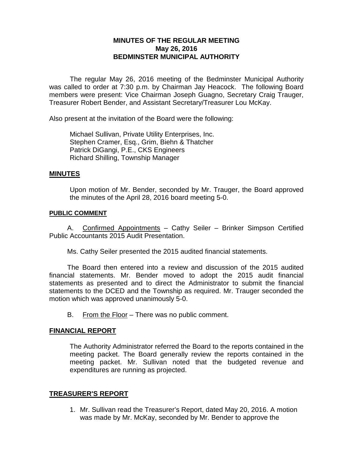# **MINUTES OF THE REGULAR MEETING May 26, 2016 BEDMINSTER MUNICIPAL AUTHORITY**

The regular May 26, 2016 meeting of the Bedminster Municipal Authority was called to order at 7:30 p.m. by Chairman Jay Heacock. The following Board members were present: Vice Chairman Joseph Guagno, Secretary Craig Trauger, Treasurer Robert Bender, and Assistant Secretary/Treasurer Lou McKay.

Also present at the invitation of the Board were the following:

Michael Sullivan, Private Utility Enterprises, Inc. Stephen Cramer, Esq., Grim, Biehn & Thatcher Patrick DiGangi, P.E., CKS Engineers Richard Shilling, Township Manager

## **MINUTES**

Upon motion of Mr. Bender, seconded by Mr. Trauger, the Board approved the minutes of the April 28, 2016 board meeting 5-0.

## **PUBLIC COMMENT**

A. Confirmed Appointments – Cathy Seiler – Brinker Simpson Certified Public Accountants 2015 Audit Presentation.

Ms. Cathy Seiler presented the 2015 audited financial statements.

The Board then entered into a review and discussion of the 2015 audited financial statements. Mr. Bender moved to adopt the 2015 audit financial statements as presented and to direct the Administrator to submit the financial statements to the DCED and the Township as required. Mr. Trauger seconded the motion which was approved unanimously 5-0.

B. From the Floor – There was no public comment.

## **FINANCIAL REPORT**

The Authority Administrator referred the Board to the reports contained in the meeting packet. The Board generally review the reports contained in the meeting packet. Mr. Sullivan noted that the budgeted revenue and expenditures are running as projected.

## **TREASURER'S REPORT**

1. Mr. Sullivan read the Treasurer's Report, dated May 20, 2016. A motion was made by Mr. McKay, seconded by Mr. Bender to approve the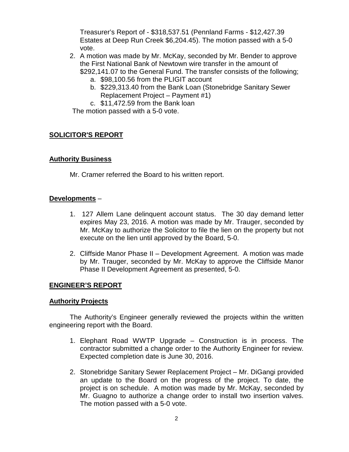Treasurer's Report of - \$318,537.51 (Pennland Farms - \$12,427.39 Estates at Deep Run Creek \$6,204.45). The motion passed with a 5-0 vote.

- 2. A motion was made by Mr. McKay, seconded by Mr. Bender to approve the First National Bank of Newtown wire transfer in the amount of \$292,141.07 to the General Fund. The transfer consists of the following;
	- a. \$98,100.56 from the PLIGIT account
	- b. \$229,313.40 from the Bank Loan (Stonebridge Sanitary Sewer Replacement Project – Payment #1)
	- c. \$11,472.59 from the Bank loan

The motion passed with a 5-0 vote.

## **SOLICITOR'S REPORT**

## **Authority Business**

Mr. Cramer referred the Board to his written report.

## **Developments** –

- 1. 127 Allem Lane delinquent account status. The 30 day demand letter expires May 23, 2016. A motion was made by Mr. Trauger, seconded by Mr. McKay to authorize the Solicitor to file the lien on the property but not execute on the lien until approved by the Board, 5-0.
- 2. Cliffside Manor Phase II Development Agreement.A motion was made by Mr. Trauger, seconded by Mr. McKay to approve the Cliffside Manor Phase II Development Agreement as presented, 5-0.

## **ENGINEER'S REPORT**

## **Authority Projects**

The Authority's Engineer generally reviewed the projects within the written engineering report with the Board.

- 1. Elephant Road WWTP Upgrade Construction is in process. The contractor submitted a change order to the Authority Engineer for review. Expected completion date is June 30, 2016.
- 2. Stonebridge Sanitary Sewer Replacement Project Mr. DiGangi provided an update to the Board on the progress of the project. To date, the project is on schedule. A motion was made by Mr. McKay, seconded by Mr. Guagno to authorize a change order to install two insertion valves. The motion passed with a 5-0 vote.